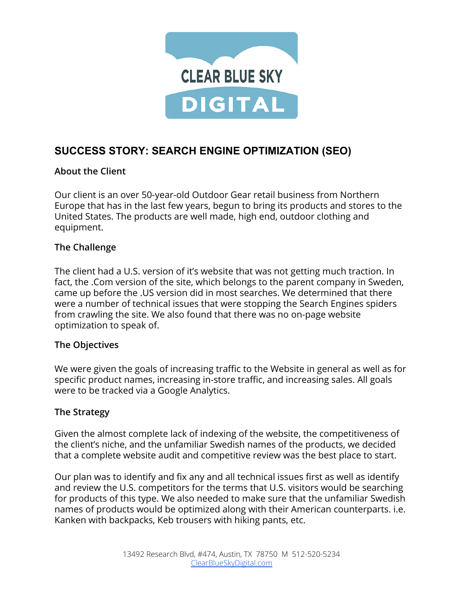

# **SUCCESS STORY: SEARCH ENGINE OPTIMIZATION (SEO)**

# **About the Client**

Our client is an over 50-year-old Outdoor Gear retail business from Northern Europe that has in the last few years, begun to bring its products and stores to the United States. The products are well made, high end, outdoor clothing and equipment.

# **The Challenge**

The client had a U.S. version of it's website that was not getting much traction. In fact, the .Com version of the site, which belongs to the parent company in Sweden, came up before the .US version did in most searches. We determined that there were a number of technical issues that were stopping the Search Engines spiders from crawling the site. We also found that there was no on-page website optimization to speak of.

### **The Objectives**

We were given the goals of increasing traffic to the Website in general as well as for specific product names, increasing in-store traffic, and increasing sales. All goals were to be tracked via a Google Analytics.

### **The Strategy**

Given the almost complete lack of indexing of the website, the competitiveness of the client's niche, and the unfamiliar Swedish names of the products, we decided that a complete website audit and competitive review was the best place to start.

Our plan was to identify and fix any and all technical issues first as well as identify and review the U.S. competitors for the terms that U.S. visitors would be searching for products of this type. We also needed to make sure that the unfamiliar Swedish names of products would be optimized along with their American counterparts. i.e. Kanken with backpacks, Keb trousers with hiking pants, etc.